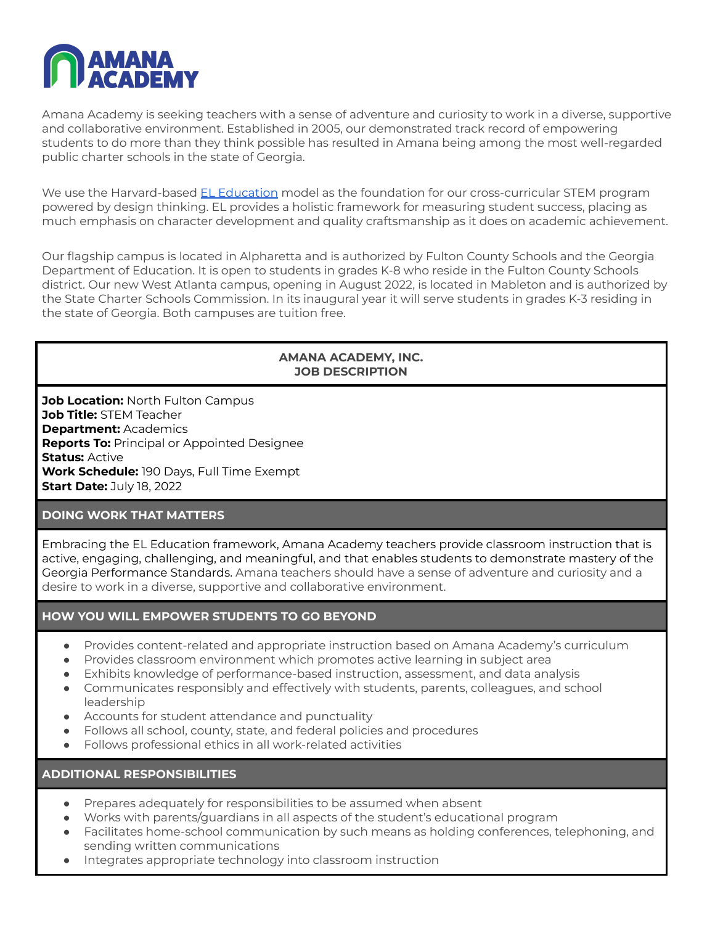

Amana Academy is seeking teachers with a sense of adventure and curiosity to work in a diverse, supportive and collaborative environment. Established in 2005, our demonstrated track record of empowering students to do more than they think possible has resulted in Amana being among the most well-regarded public charter schools in the state of Georgia.

We use the Harvard-based EL [Education](https://eleducation.org/) model as the foundation for our cross-curricular STEM program powered by design thinking. EL provides a holistic framework for measuring student success, placing as much emphasis on character development and quality craftsmanship as it does on academic achievement.

Our flagship campus is located in Alpharetta and is authorized by Fulton County Schools and the Georgia Department of Education. It is open to students in grades K-8 who reside in the Fulton County Schools district. Our new West Atlanta campus, opening in August 2022, is located in Mableton and is authorized by the State Charter Schools Commission. In its inaugural year it will serve students in grades K-3 residing in the state of Georgia. Both campuses are tuition free.

### **AMANA ACADEMY, INC. JOB DESCRIPTION**

**Job Location:** North Fulton Campus **Job Title:** STEM Teacher **Department:** Academics **Reports To:** Principal or Appointed Designee **Status:** Active **Work Schedule:** 190 Days, Full Time Exempt **Start Date:** July 18, 2022

### **DOING WORK THAT MATTERS**

Embracing the EL Education framework, Amana Academy teachers provide classroom instruction that is active, engaging, challenging, and meaningful, and that enables students to demonstrate mastery of the Georgia Performance Standards. Amana teachers should have a sense of adventure and curiosity and a desire to work in a diverse, supportive and collaborative environment.

# **HOW YOU WILL EMPOWER STUDENTS TO GO BEYOND**

- Provides content-related and appropriate instruction based on Amana Academy's curriculum
- Provides classroom environment which promotes active learning in subject area
- Exhibits knowledge of performance-based instruction, assessment, and data analysis
- Communicates responsibly and effectively with students, parents, colleagues, and school leadership
- Accounts for student attendance and punctuality
- Follows all school, county, state, and federal policies and procedures
- Follows professional ethics in all work-related activities

**ADDITIONAL RESPONSIBILITIES**

- Prepares adequately for responsibilities to be assumed when absent
- Works with parents/guardians in all aspects of the student's educational program
- Facilitates home-school communication by such means as holding conferences, telephoning, and sending written communications
- Integrates appropriate technology into classroom instruction